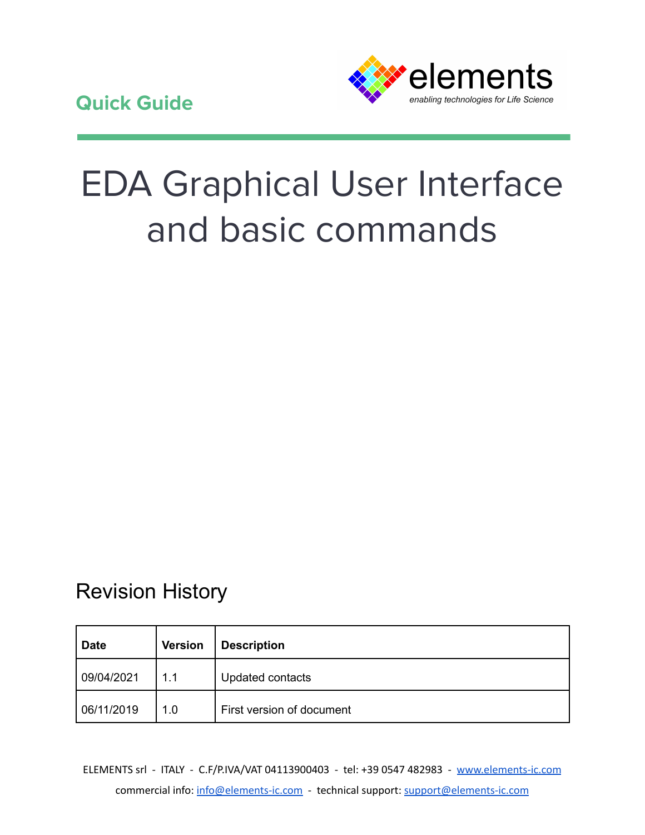

# EDA Graphical User Interface and basic commands

## Revision History

| Date       | <b>Version</b> | <b>Description</b>        |
|------------|----------------|---------------------------|
| 09/04/2021 | 1.1            | Updated contacts          |
| 06/11/2019 | 1.0            | First version of document |

ELEMENTS srl - ITALY - C.F/P.IVA/VAT 04113900403 - tel: +39 0547 482983 - [www.elements-ic.com](http://www.elements-ic.com) commercial info: [info@elements-ic.com](mailto:info@elements-ic.com) - technical support: [support@elements-ic.com](mailto:support@elements-ic.com)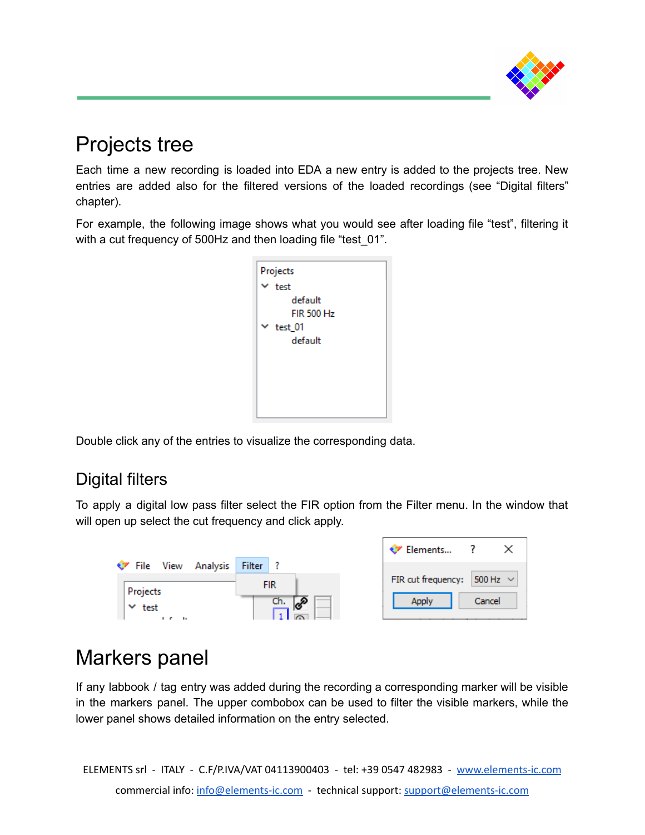

# Projects tree

Each time a new recording is loaded into EDA a new entry is added to the projects tree. New entries are added also for the filtered versions of the loaded recordings (see "Digital filters" chapter).

For example, the following image shows what you would see after loading file "test", filtering it with a cut frequency of 500Hz and then loading file "test 01".

| Projects          |  |  |  |
|-------------------|--|--|--|
| $\times$ test     |  |  |  |
| default           |  |  |  |
| <b>FIR 500 Hz</b> |  |  |  |
| $\times$ test_01  |  |  |  |
| default           |  |  |  |
|                   |  |  |  |
|                   |  |  |  |
|                   |  |  |  |
|                   |  |  |  |
|                   |  |  |  |

Double click any of the entries to visualize the corresponding data.

## Digital filters

To apply a digital low pass filter select the FIR option from the Filter menu. In the window that will open up select the cut frequency and click apply.



# Markers panel

If any labbook / tag entry was added during the recording a corresponding marker will be visible in the markers panel. The upper combobox can be used to filter the visible markers, while the lower panel shows detailed information on the entry selected.

ELEMENTS srl - ITALY - C.F/P.IVA/VAT 04113900403 - tel: +39 0547 482983 - [www.elements-ic.com](http://www.elements-ic.com) commercial info: [info@elements-ic.com](mailto:info@elements-ic.com) - technical support: [support@elements-ic.com](mailto:support@elements-ic.com)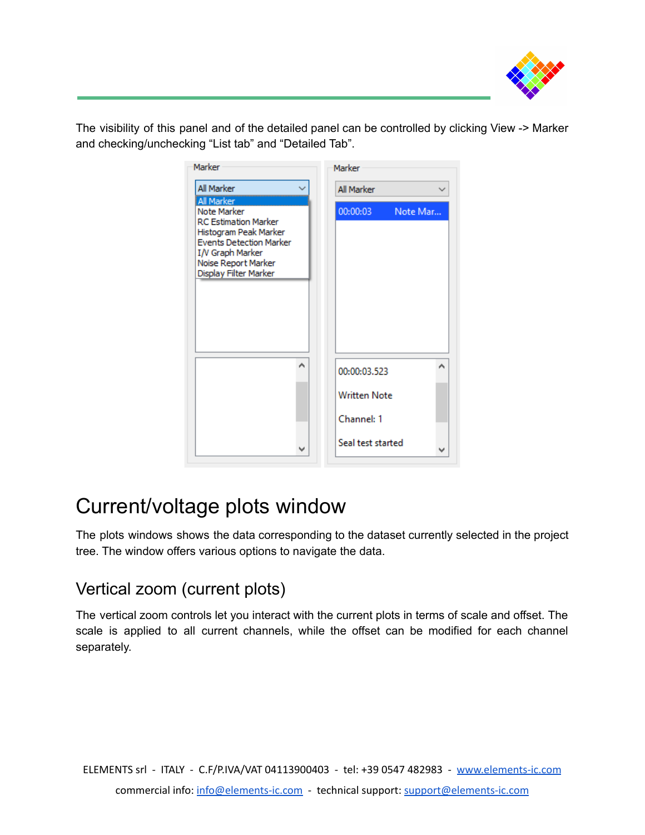

The visibility of this panel and of the detailed panel can be controlled by clicking View -> Marker and checking/unchecking "List tab" and "Detailed Tab".

| Marker                                                                                                                                                                                  |   | Marker                 |
|-----------------------------------------------------------------------------------------------------------------------------------------------------------------------------------------|---|------------------------|
| All Marker                                                                                                                                                                              |   | All Marker             |
| <b>All Marker</b><br>Note Marker<br><b>RC Estimation Marker</b><br>Histogram Peak Marker<br>Events Detection Marker<br>I/V Graph Marker<br>Noise Report Marker<br>Display Filter Marker |   | 00:00:03<br>Note Mar   |
|                                                                                                                                                                                         | ۸ | ۸<br>00:00:03.523      |
|                                                                                                                                                                                         |   | <b>Written Note</b>    |
|                                                                                                                                                                                         |   | Channel: 1             |
|                                                                                                                                                                                         | v | Seal test started<br>v |

## Current/voltage plots window

The plots windows shows the data corresponding to the dataset currently selected in the project tree. The window offers various options to navigate the data.

### Vertical zoom (current plots)

The vertical zoom controls let you interact with the current plots in terms of scale and offset. The scale is applied to all current channels, while the offset can be modified for each channel separately.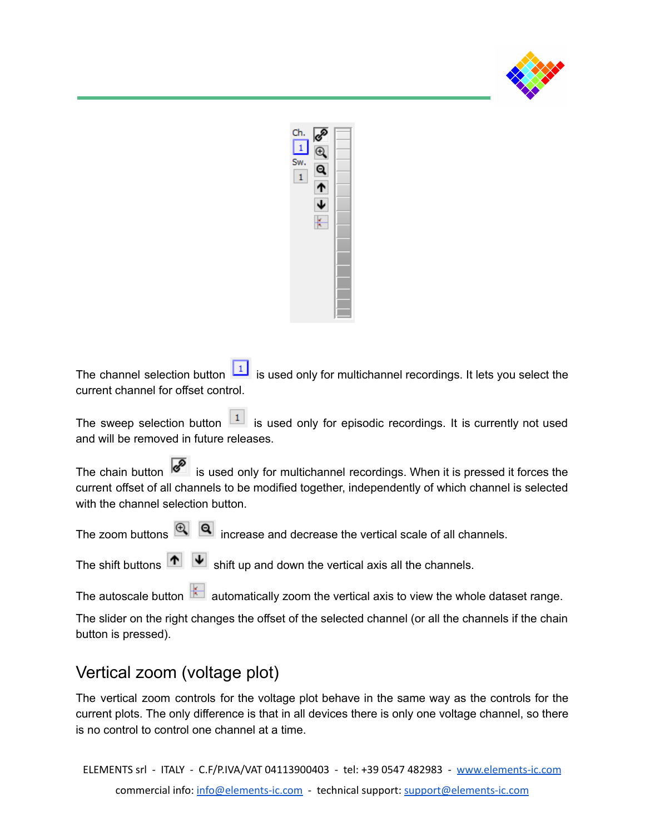



The channel selection button  $\boxed{1}$  is used only for multichannel recordings. It lets you select the current channel for offset control.

The sweep selection button  $\boxed{1}$  is used only for episodic recordings. It is currently not used and will be removed in future releases.

The chain button  $\sqrt{8}$  is used only for multichannel recordings. When it is pressed it forces the current offset of all channels to be modified together, independently of which channel is selected with the channel selection button.

The zoom buttons  $\bigcircled{R}$   $\bigcircled{q}$  increase and decrease the vertical scale of all channels.

The shift buttons  $\left|\mathbf{A}\right|$   $\left|\mathbf{\Psi}\right|$  shift up and down the vertical axis all the channels.

The autoscale button  $\mathbb{R}$  automatically zoom the vertical axis to view the whole dataset range.

The slider on the right changes the offset of the selected channel (or all the channels if the chain button is pressed).

#### Vertical zoom (voltage plot)

The vertical zoom controls for the voltage plot behave in the same way as the controls for the current plots. The only difference is that in all devices there is only one voltage channel, so there is no control to control one channel at a time.